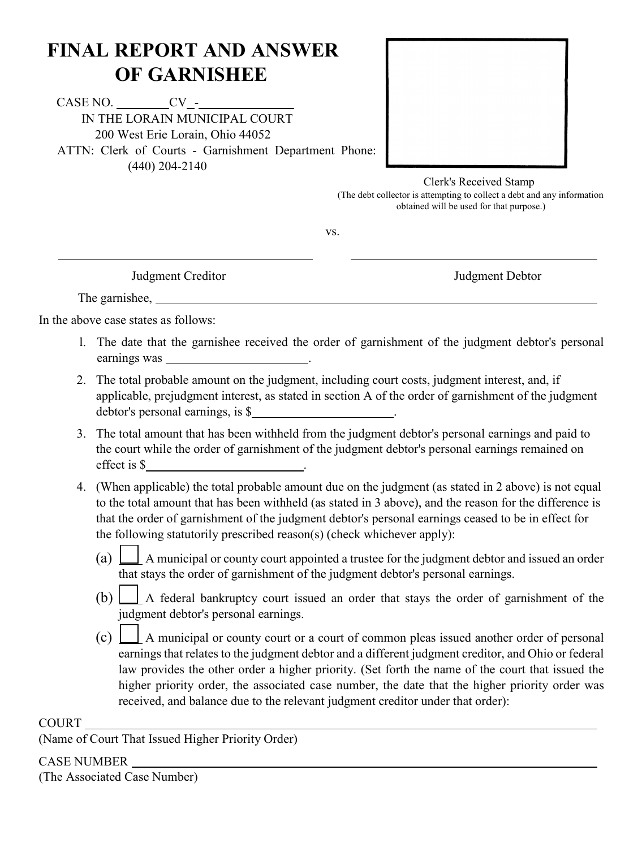# **FINAL REPORT AND ANSWER OF GARNISHEE**

CASE NO. CV - IN THE LORAIN MUNICIPAL COURT 200 West Erie Lorain, Ohio 44052 ATTN: Clerk of Courts - Garnishment Department Phone: (440) 204-2140



#### Clerk's Received Stamp

(The debt collector is attempting to collect a debt and any information obtained will be used for that purpose.)

vs.

l,

Judgment Creditor Judgment Debtor

The garnishee,

In the above case states as follows:

- l. The date that the garnishee received the order of garnishment of the judgment debtor's personal earnings was .
- 2. The total probable amount on the judgment, including court costs, judgment interest, and, if applicable, prejudgment interest, as stated in section A of the order of garnishment of the judgment debtor's personal earnings, is \$
- 3. The total amount that has been withheld from the judgment debtor's personal earnings and paid to the court while the order of garnishment of the judgment debtor's personal earnings remained on effect is \$ .
- 4. (When applicable) the total probable amount due on the judgment (as stated in 2 above) is not equal to the total amount that has been withheld (as stated in 3 above), and the reason for the difference is that the order of garnishment of the judgment debtor's personal earnings ceased to be in effect for the following statutorily prescribed reason(s) (check whichever apply):
	- (a)  $\Box$  A municipal or county court appointed a trustee for the judgment debtor and issued an order that stays the order of garnishment of the judgment debtor's personal earnings.
	- (b)  $\Box$  A federal bankruptcy court issued an order that stays the order of garnishment of the judgment debtor's personal earnings.
	- $(c)$   $\Box$  A municipal or county court or a court of common pleas issued another order of personal earnings that relates to the judgment debtor and a different judgment creditor, and Ohio or federal law provides the other order a higher priority. (Set forth the name of the court that issued the higher priority order, the associated case number, the date that the higher priority order was received, and balance due to the relevant judgment creditor under that order):

#### COURT

(Name of Court That Issued Higher Priority Order)

### CASE NUMBER

(The Associated Case Number)